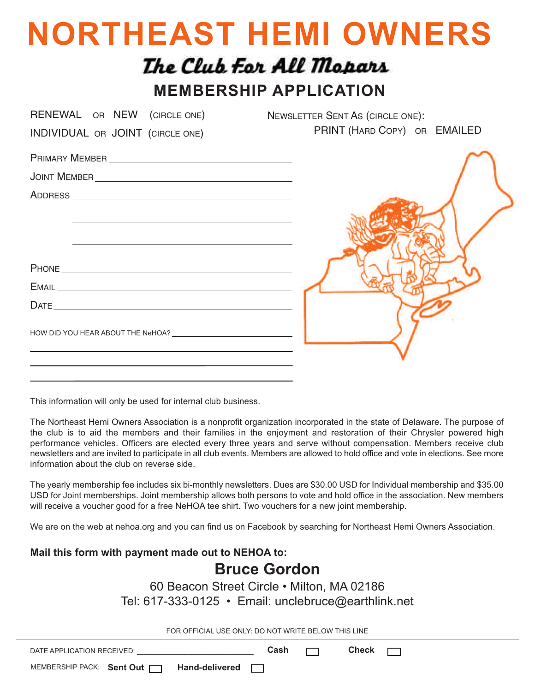## **NORTHEAST HEMI OWNERS**

## The Club For All Mopars

**MEMBERSHIP APPLICATION**

| RENEWAL OR NEW (CIRCLE ONE)                                                                                                                                                                                                                                                                                                                                         | <b>NEWSLETTER SENT AS (CIRCLE ONE):</b> |
|---------------------------------------------------------------------------------------------------------------------------------------------------------------------------------------------------------------------------------------------------------------------------------------------------------------------------------------------------------------------|-----------------------------------------|
| INDIVIDUAL OR JOINT (CIRCLE ONE)                                                                                                                                                                                                                                                                                                                                    | PRINT (HARD COPY) OR EMAILED            |
|                                                                                                                                                                                                                                                                                                                                                                     |                                         |
|                                                                                                                                                                                                                                                                                                                                                                     |                                         |
|                                                                                                                                                                                                                                                                                                                                                                     |                                         |
| and the control of the control of the control of the control of the control of the control of the control of the                                                                                                                                                                                                                                                    |                                         |
|                                                                                                                                                                                                                                                                                                                                                                     |                                         |
| the control of the control of the control of the control of the control of the control of                                                                                                                                                                                                                                                                           |                                         |
|                                                                                                                                                                                                                                                                                                                                                                     |                                         |
|                                                                                                                                                                                                                                                                                                                                                                     |                                         |
| $\begin{picture}(20,10) \put(0,0){\vector(1,0){100}} \put(15,0){\vector(1,0){100}} \put(15,0){\vector(1,0){100}} \put(15,0){\vector(1,0){100}} \put(15,0){\vector(1,0){100}} \put(15,0){\vector(1,0){100}} \put(15,0){\vector(1,0){100}} \put(15,0){\vector(1,0){100}} \put(15,0){\vector(1,0){100}} \put(15,0){\vector(1,0){100}} \put(15,0){\vector(1,0){100}} \$ |                                         |
|                                                                                                                                                                                                                                                                                                                                                                     |                                         |
|                                                                                                                                                                                                                                                                                                                                                                     |                                         |
|                                                                                                                                                                                                                                                                                                                                                                     |                                         |

This information will only be used for internal club business.

The Northeast Hemi Owners Association is a nonprofit organization incorporated in the state of Delaware. The purpose of the club is to aid the members and their families in the enjoyment and restoration of their Chrysler powered high performance vehicles. Officers are elected every three years and serve without compensation. Members receive club newsletters and are invited to participate in all club events. Members are allowed to hold office and vote in elections. See more information about the club on reverse side.

The yearly membership fee includes six bi-monthly newsletters. Dues are \$30.00 USD for Individual membership and \$35.00 USD for Joint memberships. Joint membership allows both persons to vote and hold office in the association. New members will receive a voucher good for a free NeHOA tee shirt. Two vouchers for a new joint membership.

We are on the web at nehoa.org and you can find us on Facebook by searching for Northeast Hemi Owners Association.

## **Mail this form with payment made out to NEHOA to: Bruce Gordon** 60 Beacon Street Circle • Milton, MA 02186 Tel: 617-333-0125 • Email: unclebruce@earthlink.net FOR OFFICIAL USE ONLY: DO NOT WRITE BELOW THIS LINE DATE APPLICATION RECEIVED: \_\_\_\_\_\_\_\_\_\_\_\_\_\_\_\_\_\_\_\_\_\_\_\_\_\_\_\_\_\_ **Cash Check**  $\Box$ MEMBERSHIP PACK: Sent Out | | Hand-delivered